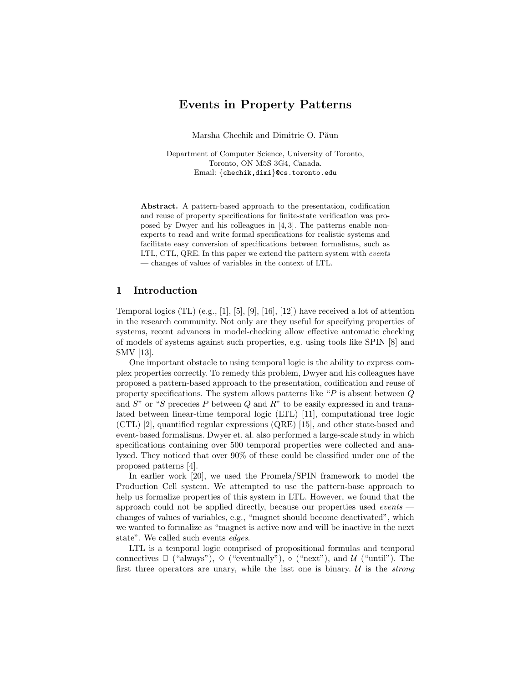# **Events in Property Patterns**

Marsha Chechik and Dimitrie O. Păun

Department of Computer Science, University of Toronto, Toronto, ON M5S 3G4, Canada. Email: {chechik,dimi}@cs.toronto.edu

**Abstract.** A pattern-based approach to the presentation, codification and reuse of property specifications for finite-state verification was proposed by Dwyer and his colleagues in [4, 3]. The patterns enable nonexperts to read and write formal specifications for realistic systems and facilitate easy conversion of specifications between formalisms, such as LTL, CTL, QRE. In this paper we extend the pattern system with events — changes of values of variables in the context of LTL.

## **1 Introduction**

Temporal logics (TL) (e.g., [1], [5], [9], [16], [12]) have received a lot of attention in the research community. Not only are they useful for specifying properties of systems, recent advances in model-checking allow effective automatic checking of models of systems against such properties, e.g. using tools like SPIN [8] and SMV [13].

One important obstacle to using temporal logic is the ability to express complex properties correctly. To remedy this problem, Dwyer and his colleagues have proposed a pattern-based approach to the presentation, codification and reuse of property specifications. The system allows patterns like "P is absent between Q and  $S$ " or "S precedes P between Q and R" to be easily expressed in and translated between linear-time temporal logic (LTL) [11], computational tree logic (CTL) [2], quantified regular expressions (QRE) [15], and other state-based and event-based formalisms. Dwyer et. al. also performed a large-scale study in which specifications containing over 500 temporal properties were collected and analyzed. They noticed that over 90% of these could be classified under one of the proposed patterns [4].

In earlier work [20], we used the Promela/SPIN framework to model the Production Cell system. We attempted to use the pattern-base approach to help us formalize properties of this system in LTL. However, we found that the approach could not be applied directly, because our properties used *events* changes of values of variables, e.g., "magnet should become deactivated", which we wanted to formalize as "magnet is active now and will be inactive in the next state". We called such events *edges*.

LTL is a temporal logic comprised of propositional formulas and temporal connectives  $\Box$  ("always"),  $\diamond$  ("eventually"),  $\circ$  ("next"), and U ("until"). The first three operators are unary, while the last one is binary.  $U$  is the *strong*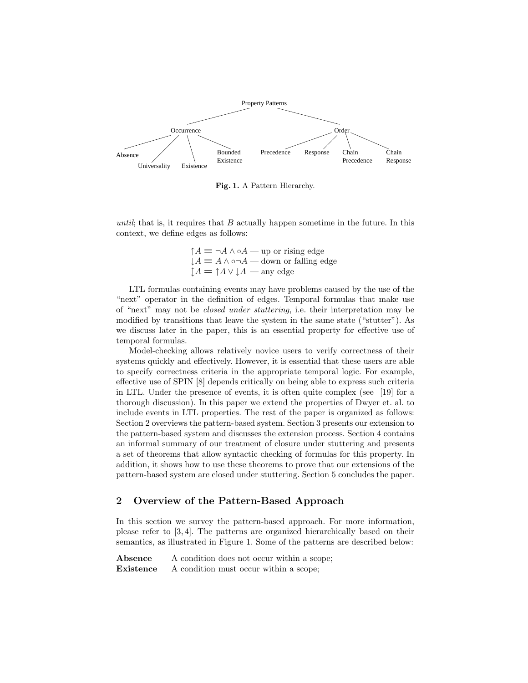

**Fig. 1.** A Pattern Hierarchy.

until; that is, it requires that  $B$  actually happen sometime in the future. In this context, we define edges as follows:

$$
\uparrow A = \neg A \land \circ A - \text{up or rising edge}
$$
  

$$
\downarrow A = A \land \circ \neg A - \text{down or falling edge}
$$
  

$$
\uparrow A = \uparrow A \lor \downarrow A - \text{any edge}
$$

LTL formulas containing events may have problems caused by the use of the "next" operator in the definition of edges. Temporal formulas that make use of "next" may not be closed under stuttering, i.e. their interpretation may be modified by transitions that leave the system in the same state ("stutter"). As we discuss later in the paper, this is an essential property for effective use of temporal formulas.

Model-checking allows relatively novice users to verify correctness of their systems quickly and effectively. However, it is essential that these users are able to specify correctness criteria in the appropriate temporal logic. For example, effective use of SPIN [8] depends critically on being able to express such criteria in LTL. Under the presence of events, it is often quite complex (see [19] for a thorough discussion). In this paper we extend the properties of Dwyer et. al. to include events in LTL properties. The rest of the paper is organized as follows: Section 2 overviews the pattern-based system. Section 3 presents our extension to the pattern-based system and discusses the extension process. Section 4 contains an informal summary of our treatment of closure under stuttering and presents a set of theorems that allow syntactic checking of formulas for this property. In addition, it shows how to use these theorems to prove that our extensions of the pattern-based system are closed under stuttering. Section 5 concludes the paper.

## **2 Overview of the Pattern-Based Approach**

In this section we survey the pattern-based approach. For more information, please refer to [3, 4]. The patterns are organized hierarchically based on their semantics, as illustrated in Figure 1. Some of the patterns are described below:

Absence A condition does not occur within a scope; **Existence** A condition must occur within a scope;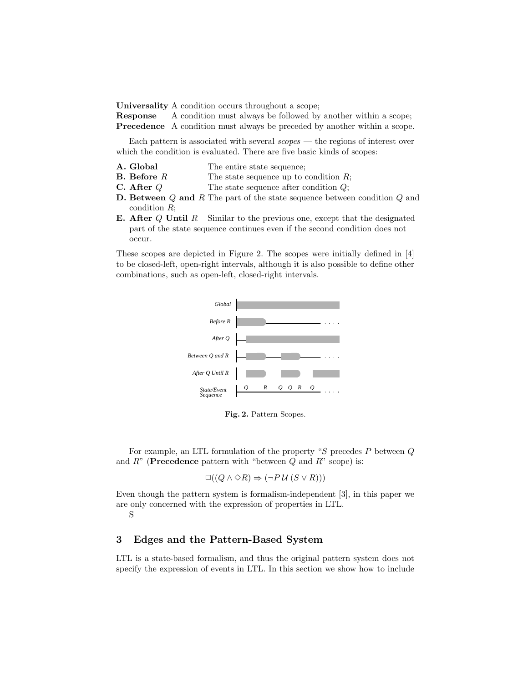**Universality** A condition occurs throughout a scope;

**Response** A condition must always be followed by another within a scope; **Precedence** A condition must always be preceded by another within a scope.

Each pattern is associated with several scopes — the regions of interest over which the condition is evaluated. There are five basic kinds of scopes:

- **A. Global** The entire state sequence;
- **B. Before** R The state sequence up to condition R;
- **C.** After Q The state sequence after condition Q;
- **D. Between** Q **and** R The part of the state sequence between condition Q and condition R;
- **E. After** Q **Until** R Similar to the previous one, except that the designated part of the state sequence continues even if the second condition does not occur.

These scopes are depicted in Figure 2. The scopes were initially defined in [4] to be closed-left, open-right intervals, although it is also possible to define other combinations, such as open-left, closed-right intervals.



**Fig. 2.** Pattern Scopes.

For example, an LTL formulation of the property " $S$  precedes  $P$  between  $Q$ and R" (**Precedence** pattern with "between Q and R" scope) is:

$$
\Box((Q \land \Diamond R) \Rightarrow (\neg P \mathcal{U} (S \lor R)))
$$

Even though the pattern system is formalism-independent [3], in this paper we are only concerned with the expression of properties in LTL.

S

## **3 Edges and the Pattern-Based System**

LTL is a state-based formalism, and thus the original pattern system does not specify the expression of events in LTL. In this section we show how to include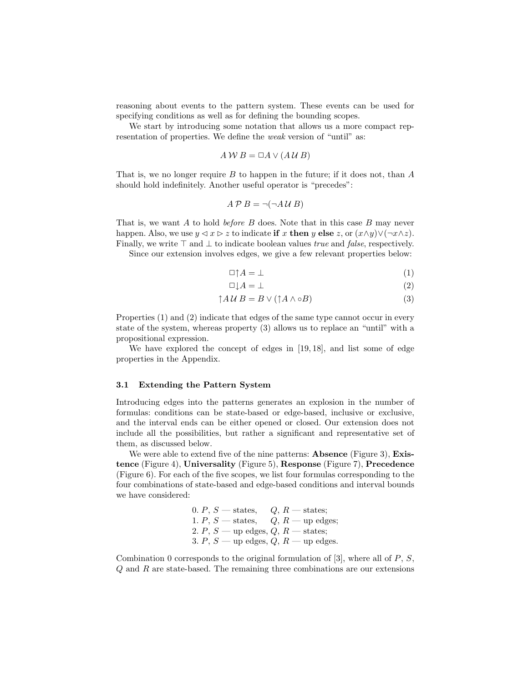reasoning about events to the pattern system. These events can be used for specifying conditions as well as for defining the bounding scopes.

We start by introducing some notation that allows us a more compact representation of properties. We define the *weak* version of "until" as:

$$
A \, W \, B = \Box A \vee (A \, U \, B)
$$

That is, we no longer require  $B$  to happen in the future; if it does not, than  $A$ should hold indefinitely. Another useful operator is "precedes":

$$
A \mathcal{P} B = \neg(\neg A \mathcal{U} B)
$$

That is, we want A to hold *before B* does. Note that in this case B may never happen. Also, we use  $y \leq x \leq z$  to indicate **if** x **then** y **else** z, or  $(x \wedge y) \vee (\neg x \wedge z)$ . Finally, we write  $\top$  and  $\bot$  to indicate boolean values *true* and *false*, respectively.

Since our extension involves edges, we give a few relevant properties below:

$$
\Box \uparrow A = \bot \tag{1}
$$

$$
\Box \downarrow A = \bot \tag{2}
$$

$$
\uparrow A \mathcal{U} \, B = B \vee (\uparrow A \wedge \circ B) \tag{3}
$$

Properties (1) and (2) indicate that edges of the same type cannot occur in every state of the system, whereas property (3) allows us to replace an "until" with a propositional expression.

We have explored the concept of edges in [19, 18], and list some of edge properties in the Appendix.

#### **3.1 Extending the Pattern System**

Introducing edges into the patterns generates an explosion in the number of formulas: conditions can be state-based or edge-based, inclusive or exclusive, and the interval ends can be either opened or closed. Our extension does not include all the possibilities, but rather a significant and representative set of them, as discussed below.

We were able to extend five of the nine patterns: **Absence** (Figure 3), **Existence** (Figure 4), **Universality** (Figure 5), **Response** (Figure 7), **Precedence** (Figure 6). For each of the five scopes, we list four formulas corresponding to the four combinations of state-based and edge-based conditions and interval bounds we have considered:

> 0. P,  $S$  — states,  $Q, R$  — states; 1. P,  $S$  — states,  $Q, R$  — up edges; 2. P,  $S$  — up edges,  $Q$ ,  $R$  — states; 3. P,  $S$  — up edges,  $Q$ ,  $R$  — up edges.

Combination 0 corresponds to the original formulation of  $[3]$ , where all of  $P$ ,  $S$ , Q and R are state-based. The remaining three combinations are our extensions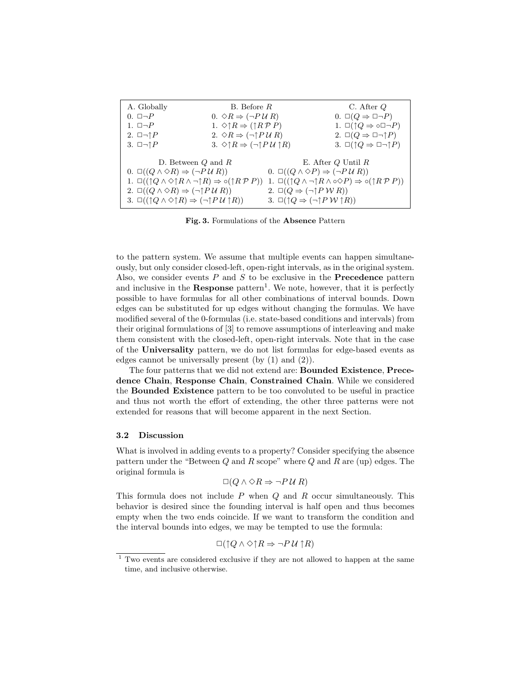| A. Globally                                                                                                                                                                                                                                    | $B.$ Before $R$                                                                                                                                |                                                                                                                                                                                                                                              | C. After $Q$                                                                                                        |
|------------------------------------------------------------------------------------------------------------------------------------------------------------------------------------------------------------------------------------------------|------------------------------------------------------------------------------------------------------------------------------------------------|----------------------------------------------------------------------------------------------------------------------------------------------------------------------------------------------------------------------------------------------|---------------------------------------------------------------------------------------------------------------------|
| $0. \Box \neg P$                                                                                                                                                                                                                               | $0. \Diamond R \Rightarrow (\neg P \cup R)$                                                                                                    |                                                                                                                                                                                                                                              | $0. \Box(Q \Rightarrow \Box \neg P)$                                                                                |
| 1. $\Box \neg P$                                                                                                                                                                                                                               | 1. $\Diamond \uparrow R \Rightarrow (\uparrow R \mathcal{P} P)$                                                                                |                                                                                                                                                                                                                                              | 1. $\square(\uparrow Q \Rightarrow \circ \square \neg P)$                                                           |
| 2. $\Box \neg \uparrow P$                                                                                                                                                                                                                      | 2. $\Diamond R \Rightarrow (\neg \uparrow P \cup R)$                                                                                           |                                                                                                                                                                                                                                              | 2. $\square(Q \Rightarrow \square \neg \uparrow P)$                                                                 |
| 3. $\Box \neg \uparrow P$                                                                                                                                                                                                                      | 3. $\Diamond \uparrow R \Rightarrow (\neg \uparrow P \mathcal{U} \uparrow R)$                                                                  |                                                                                                                                                                                                                                              | 3. $\square(\uparrow Q \Rightarrow \square \neg \uparrow P)$                                                        |
| $0. \Box((Q \land \Diamond R) \Rightarrow (\neg P \cup R))$<br>2. $\Box((Q \land \Diamond R) \Rightarrow (\neg \uparrow P \lor R))$<br>3. $\Box((\uparrow Q \wedge \Diamond \uparrow R) \Rightarrow (\neg \uparrow P \mathcal{U} \uparrow R))$ | D. Between $Q$ and $R$<br>1. $\Box((\uparrow Q \land \Diamond \uparrow R \land \neg \uparrow R) \Rightarrow \circ (\uparrow R \mathcal{P} P))$ | E. After $Q$ Until $R$<br>$0. \Box((Q \land \Diamond P) \Rightarrow (\neg P \cup R))$<br>2. $\Box(Q \Rightarrow (\neg \uparrow P \mathcal{W} \mathcal{R}))$<br>3. $\square(\uparrow Q \Rightarrow (\neg \uparrow P \mathcal{W} \uparrow R))$ | 1. $\Box((\uparrow Q \wedge \neg \uparrow R \wedge \circ \Diamond P) \Rightarrow \circ (\uparrow R \mathcal{P} P))$ |

**Fig. 3.** Formulations of the **Absence** Pattern

to the pattern system. We assume that multiple events can happen simultaneously, but only consider closed-left, open-right intervals, as in the original system. Also, we consider events P and S to be exclusive in the **Precedence** pattern and inclusive in the **Response** pattern<sup>1</sup>. We note, however, that it is perfectly possible to have formulas for all other combinations of interval bounds. Down edges can be substituted for up edges without changing the formulas. We have modified several of the 0-formulas (i.e. state-based conditions and intervals) from their original formulations of [3] to remove assumptions of interleaving and make them consistent with the closed-left, open-right intervals. Note that in the case of the **Universality** pattern, we do not list formulas for edge-based events as edges cannot be universally present (by (1) and (2)).

The four patterns that we did not extend are: **Bounded Existence**, **Precedence Chain**, **Response Chain**, **Constrained Chain**. While we considered the **Bounded Existence** pattern to be too convoluted to be useful in practice and thus not worth the effort of extending, the other three patterns were not extended for reasons that will become apparent in the next Section.

#### **3.2 Discussion**

What is involved in adding events to a property? Consider specifying the absence pattern under the "Between  $Q$  and  $R$  scope" where  $Q$  and  $R$  are (up) edges. The original formula is

$$
\Box(Q \land \Diamond R \Rightarrow \neg P \lor R)
$$

This formula does not include  $P$  when  $Q$  and  $R$  occur simultaneously. This behavior is desired since the founding interval is half open and thus becomes empty when the two ends coincide. If we want to transform the condition and the interval bounds into edges, we may be tempted to use the formula:

$$
\Box(\uparrow Q \land \Diamond \uparrow R \Rightarrow \neg P \mathcal{U} \uparrow R)
$$

<sup>1</sup> Two events are considered exclusive if they are not allowed to happen at the same time, and inclusive otherwise.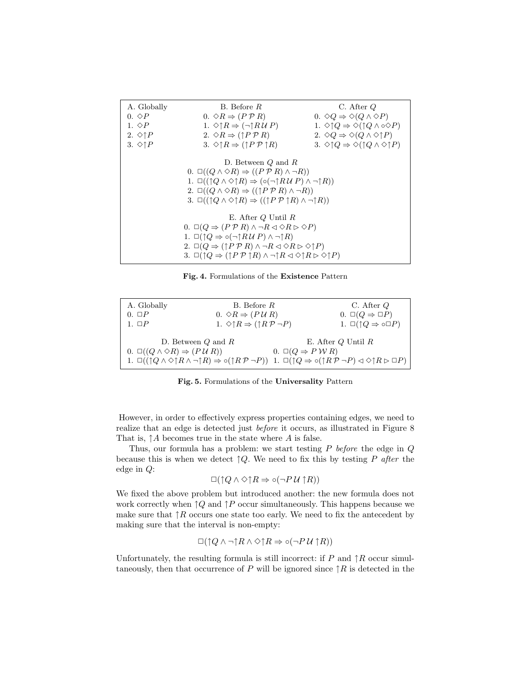| A. Globally<br>$0. \diamond P$<br>1. $\Diamond P$<br>2. $\Diamond \uparrow P$                                                                                                                                                                                                                                                                                                                                                                        | B. Before R.<br>$0. \Diamond R \Rightarrow (P \mathcal{P} R)$<br>1. $\Diamond \uparrow R \Rightarrow (\neg \uparrow R \vee P)$<br>2. $\Diamond R \Rightarrow (\uparrow P \mathcal{P} R)$ | $C.$ After $Q$<br>$0. \diamond Q \Rightarrow \diamond (Q \wedge \diamond P)$<br>1. $\Diamond \uparrow Q \Rightarrow \Diamond (\uparrow Q \land \circ \Diamond P)$<br>2. $\Diamond Q \Rightarrow \Diamond (Q \land \Diamond \uparrow P)$ |  |  |  |
|------------------------------------------------------------------------------------------------------------------------------------------------------------------------------------------------------------------------------------------------------------------------------------------------------------------------------------------------------------------------------------------------------------------------------------------------------|------------------------------------------------------------------------------------------------------------------------------------------------------------------------------------------|-----------------------------------------------------------------------------------------------------------------------------------------------------------------------------------------------------------------------------------------|--|--|--|
| 3. $\Diamond \uparrow P$                                                                                                                                                                                                                                                                                                                                                                                                                             | 3. $\Diamond \uparrow R \Rightarrow (\uparrow P \mathcal{P} \uparrow R)$                                                                                                                 | 3. $\Diamond \uparrow Q \Rightarrow \Diamond (\uparrow Q \land \Diamond \uparrow P)$                                                                                                                                                    |  |  |  |
| D. Between $Q$ and $R$<br>$0. \Box((Q \land \Diamond R) \Rightarrow ((P \, P \, R) \land \neg R))$<br>1. $\Box((\uparrow Q \wedge \Diamond \uparrow R) \Rightarrow (\circ (\neg \uparrow R \vee P) \wedge \neg \uparrow R))$<br>2. $\Box((Q \land \Diamond R) \Rightarrow ((\uparrow P \mathcal{P} R) \land \neg R))$<br>3. $\Box((\uparrow Q \wedge \Diamond \uparrow R) \Rightarrow ((\uparrow P \mathcal{P} \uparrow R) \wedge \neg \uparrow R))$ |                                                                                                                                                                                          |                                                                                                                                                                                                                                         |  |  |  |
| E. After $Q$ Until $R$<br>0. $\Box(Q \Rightarrow (P \, P \, R) \land \neg R \triangleleft \Diamond R \triangleright \Diamond P)$                                                                                                                                                                                                                                                                                                                     |                                                                                                                                                                                          |                                                                                                                                                                                                                                         |  |  |  |
| 1. $\Box(\uparrow Q \Rightarrow \circ (\neg \uparrow R \vee P) \wedge \neg \uparrow R)$<br>2. $\Box(Q \Rightarrow (\uparrow P \, P \, R) \land \neg R \triangleleft \Diamond R \triangleright \Diamond \uparrow P)$<br>3. $\Box(\uparrow Q \Rightarrow (\uparrow P \mathcal{P} \uparrow R) \land \neg \uparrow R \triangleleft \Diamond \uparrow R \rhd \Diamond \uparrow P)$                                                                        |                                                                                                                                                                                          |                                                                                                                                                                                                                                         |  |  |  |

| Fig. 4. Formulations of the Existence Pattern |  |  |  |
|-----------------------------------------------|--|--|--|
|-----------------------------------------------|--|--|--|

| A. Globally<br>$0. \Box P$                                                                                                                                                                                                                               | $B.$ Before $R$<br>$0. \Diamond R \Rightarrow (P \cup R)$            |                              | $C.$ After $Q$<br>$0. \Box(Q \Rightarrow \Box P)$    |
|----------------------------------------------------------------------------------------------------------------------------------------------------------------------------------------------------------------------------------------------------------|----------------------------------------------------------------------|------------------------------|------------------------------------------------------|
| $1. \square P$                                                                                                                                                                                                                                           | 1. $\Diamond \uparrow R \Rightarrow (\uparrow R \mathcal{P} \neg P)$ |                              | 1. $\square(\uparrow Q \Rightarrow \circ \square P)$ |
| D. Between $Q$ and $R$                                                                                                                                                                                                                                   |                                                                      |                              | E. After $Q$ Until $R$                               |
| $0. \Box((Q \land \Diamond R) \Rightarrow (P \cup R))$                                                                                                                                                                                                   |                                                                      | $0. \Box(Q \Rightarrow PWR)$ |                                                      |
| 1. $\square((\uparrow Q \wedge \Diamond \uparrow R \wedge \neg \uparrow R) \Rightarrow \circ(\uparrow R \mathcal{P} \neg P))$ 1. $\square(\uparrow Q \Rightarrow \circ(\uparrow R \mathcal{P} \neg P) \triangleleft \Diamond \uparrow R \rhd \square P)$ |                                                                      |                              |                                                      |

**Fig. 5.** Formulations of the **Universality** Pattern

However, in order to effectively express properties containing edges, we need to realize that an edge is detected just before it occurs, as illustrated in Figure 8 That is,  $\uparrow A$  becomes true in the state where A is false.

Thus, our formula has a problem: we start testing  $P$  before the edge in  $Q$ because this is when we detect  $\uparrow Q$ . We need to fix this by testing P after the edge in Q:

$$
\Box(\uparrow Q \land \Diamond \uparrow R \Rightarrow \circ (\neg P \mathcal{U} \uparrow R))
$$

We fixed the above problem but introduced another: the new formula does not work correctly when  $\uparrow Q$  and  $\uparrow P$  occur simultaneously. This happens because we make sure that  $\uparrow R$  occurs one state too early. We need to fix the antecedent by making sure that the interval is non-empty:

$$
\Box(\uparrow Q \wedge \neg \uparrow R \wedge \Diamond \uparrow R \Rightarrow \circ (\neg P \mathcal{U} \uparrow R))
$$

Unfortunately, the resulting formula is still incorrect: if  $P$  and  $\uparrow R$  occur simultaneously, then that occurrence of P will be ignored since  $\uparrow R$  is detected in the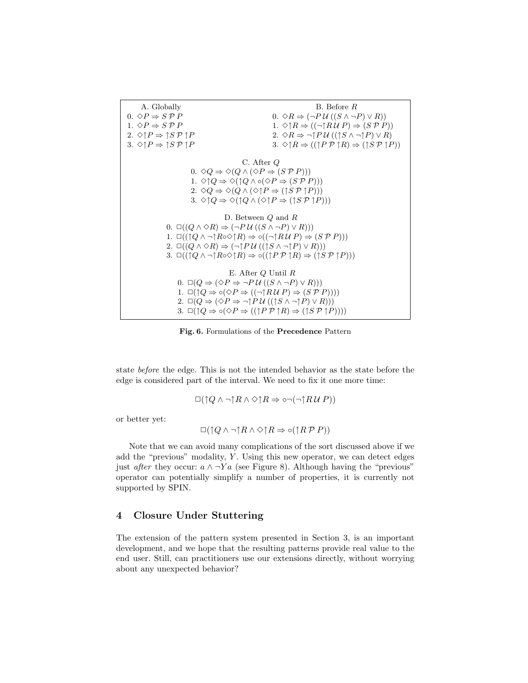

**Fig. 6.** Formulations of the **Precedence** Pattern

state before the edge. This is not the intended behavior as the state before the edge is considered part of the interval. We need to fix it one more time:

$$
\Box(\uparrow Q \wedge \neg \uparrow R \wedge \Diamond \uparrow R \Rightarrow \circ \neg (\neg \uparrow R \vee P))
$$

or better yet:

$$
\Box(\uparrow Q \wedge \neg \uparrow R \wedge \Diamond \uparrow R \Rightarrow \circ (\uparrow R \mathcal{P} P))
$$

Note that we can avoid many complications of the sort discussed above if we add the "previous" modality,  $Y$ . Using this new operator, we can detect edges just after they occur:  $a \wedge \neg Ya$  (see Figure 8). Although having the "previous" operator can potentially simplify a number of properties, it is currently not supported by SPIN.

### **4 Closure Under Stuttering**

The extension of the pattern system presented in Section 3, is an important development, and we hope that the resulting patterns provide real value to the end user. Still, can practitioners use our extensions directly, without worrying about any unexpected behavior?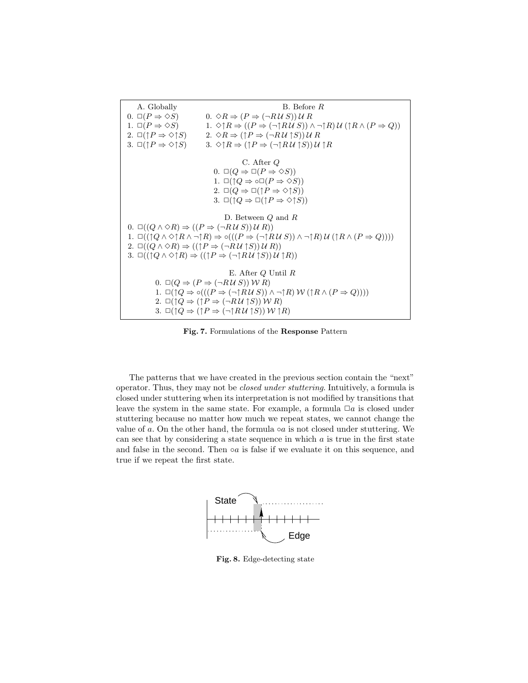

**Fig. 7.** Formulations of the **Response** Pattern

The patterns that we have created in the previous section contain the "next" operator. Thus, they may not be closed under stuttering. Intuitively, a formula is closed under stuttering when its interpretation is not modified by transitions that leave the system in the same state. For example, a formula  $\Box a$  is closed under stuttering because no matter how much we repeat states, we cannot change the value of a. On the other hand, the formula  $\circ a$  is not closed under stuttering. We can see that by considering a state sequence in which  $a$  is true in the first state and false in the second. Then  $\circ a$  is false if we evaluate it on this sequence, and true if we repeat the first state.



**Fig. 8.** Edge-detecting state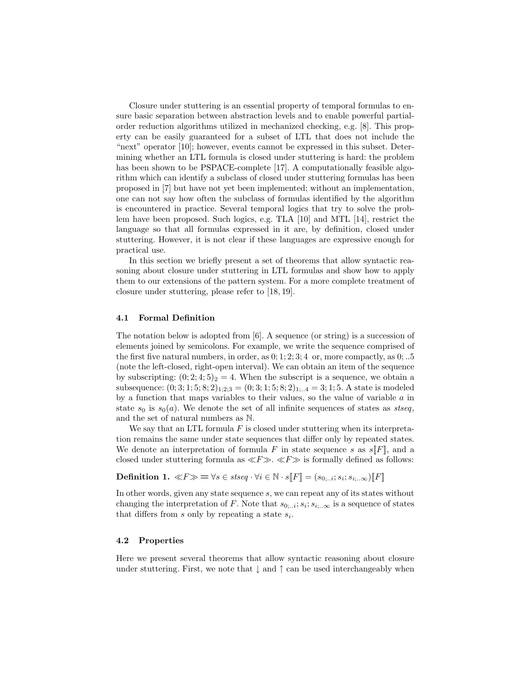Closure under stuttering is an essential property of temporal formulas to ensure basic separation between abstraction levels and to enable powerful partialorder reduction algorithms utilized in mechanized checking, e.g. [8]. This property can be easily guaranteed for a subset of LTL that does not include the "next" operator [10]; however, events cannot be expressed in this subset. Determining whether an LTL formula is closed under stuttering is hard: the problem has been shown to be PSPACE-complete [17]. A computationally feasible algorithm which can identify a subclass of closed under stuttering formulas has been proposed in [7] but have not yet been implemented; without an implementation, one can not say how often the subclass of formulas identified by the algorithm is encountered in practice. Several temporal logics that try to solve the problem have been proposed. Such logics, e.g. TLA [10] and MTL [14], restrict the language so that all formulas expressed in it are, by definition, closed under stuttering. However, it is not clear if these languages are expressive enough for practical use.

In this section we briefly present a set of theorems that allow syntactic reasoning about closure under stuttering in LTL formulas and show how to apply them to our extensions of the pattern system. For a more complete treatment of closure under stuttering, please refer to [18, 19].

#### **4.1 Formal Definition**

The notation below is adopted from [6]. A sequence (or string) is a succession of elements joined by semicolons. For example, we write the sequence comprised of the first five natural numbers, in order, as  $0; 1; 2; 3; 4$  or, more compactly, as  $0; .5$ (note the left-closed, right-open interval). We can obtain an item of the sequence by subscripting:  $(0; 2; 4; 5)_2 = 4$ . When the subscript is a sequence, we obtain a subsequence:  $(0; 3; 1; 5; 8; 2)_{1;2;3} = (0; 3; 1; 5; 8; 2)_{1;1;4} = 3; 1; 5$ . A state is modeled by a function that maps variables to their values, so the value of variable  $a$  in state  $s_0$  is  $s_0(a)$ . We denote the set of all infinite sequences of states as stseq, and the set of natural numbers as N.

We say that an LTL formula  $F$  is closed under stuttering when its interpretation remains the same under state sequences that differ only by repeated states. We denote an interpretation of formula F in state sequence s as  $s||F||$ , and a closed under stuttering formula as  $\ll F \gg \ll F \gg$  is formally defined as follows:

**Definition 1.** 
$$
\ll F \gg \implies \forall s \in \text{stseq} \cdot \forall i \in \mathbb{N} \cdot s[F] = (s_{0, \ldots i}; s_i; s_{i, \ldots \infty})[F]
$$

In other words, given any state sequence s, we can repeat any of its states without changing the interpretation of F. Note that  $s_{0;..i}; s_i; s_{i;..,\infty}$  is a sequence of states that differs from  $s$  only by repeating a state  $s_i$ .

#### **4.2 Properties**

Here we present several theorems that allow syntactic reasoning about closure under stuttering. First, we note that  $\downarrow$  and  $\uparrow$  can be used interchangeably when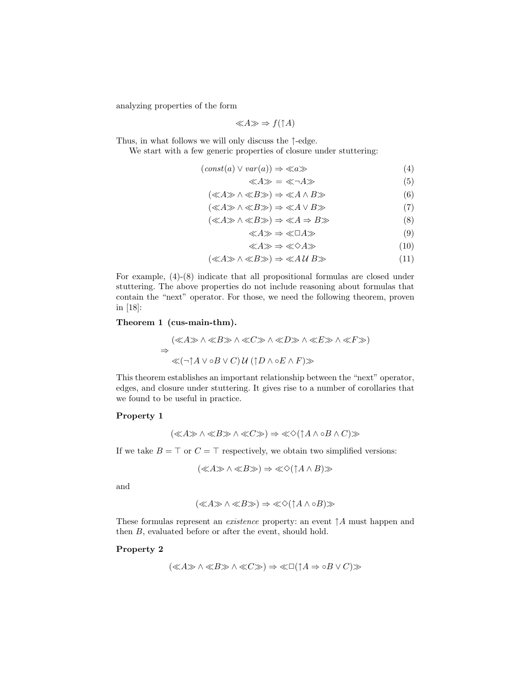analyzing properties of the form

$$
\ll A \gg \Rightarrow f(\uparrow A)
$$

Thus, in what follows we will only discuss the ↑-edge.

We start with a few generic properties of closure under stuttering:

$$
(const(a) \lor var(a)) \Rightarrow \ll a \gg \tag{4}
$$

$$
\ll A \gg \; = \; \ll \neg A \gg \tag{5}
$$

$$
(\ll\!A\!\gg\!\wedge\!\ll\!B\!\gg)\Rightarrow\!\ll\!A\wedge B\!\gg\tag{6}
$$

$$
(\ll A \gg \land \ll B \gg) \Rightarrow \ll A \lor B \gg \tag{7}
$$

$$
(\ll A \gg \land \ll B \gg) \Rightarrow \ll A \Rightarrow B \gg \tag{8}
$$

$$
\ll A \gg \Rightarrow \ll \Box A \gg \tag{9}
$$

$$
\ll A \gg \Rightarrow \ll \Diamond A \gg \tag{10}
$$

$$
(\ll A \gg \land \ll B \gg) \Rightarrow \ll A \, U \, B \gg \tag{11}
$$

For example, (4)-(8) indicate that all propositional formulas are closed under stuttering. The above properties do not include reasoning about formulas that contain the "next" operator. For those, we need the following theorem, proven in [18]:

#### **Theorem 1 (cus-main-thm).**

$$
(\ll A \gg \land \ll B \gg \land \ll C \gg \land \ll D \gg \land \ll E \gg \land \ll F \gg)
$$
  
\n
$$
\Rightarrow \ll (\neg \uparrow A \lor \circ B \lor C) \lor (\uparrow D \land \circ E \land F) \gg
$$

This theorem establishes an important relationship between the "next" operator, edges, and closure under stuttering. It gives rise to a number of corollaries that we found to be useful in practice.

#### **Property 1**

$$
(\ll\!A\!\gg\wedge\ll\!B\!\gg\wedge\ll\!C\!\gg)\Rightarrow\ll\!\Diamond(\!\uparrow\!A\wedge\!\circ\!B\wedge C)\!\gg
$$

If we take  $B = \top$  or  $C = \top$  respectively, we obtain two simplified versions:

$$
(\ll A \gg \land \ll B \gg) \Rightarrow \ll \Diamond (\uparrow A \land B) \gg
$$

and

$$
(\ll A \gg \land \ll B \gg) \Rightarrow \ll \Diamond (\uparrow A \land \circ B) \gg
$$

These formulas represent an *existence* property: an event  $\uparrow$  A must happen and then B, evaluated before or after the event, should hold.

#### **Property 2**

$$
(\ll\!A\!\gg\wedge\ll\!B\!\gg\wedge\ll\!C\!\gg)\Rightarrow\ll\!\Box(\uparrow\!A\Rightarrow\circ\!B\vee C)\!\gg
$$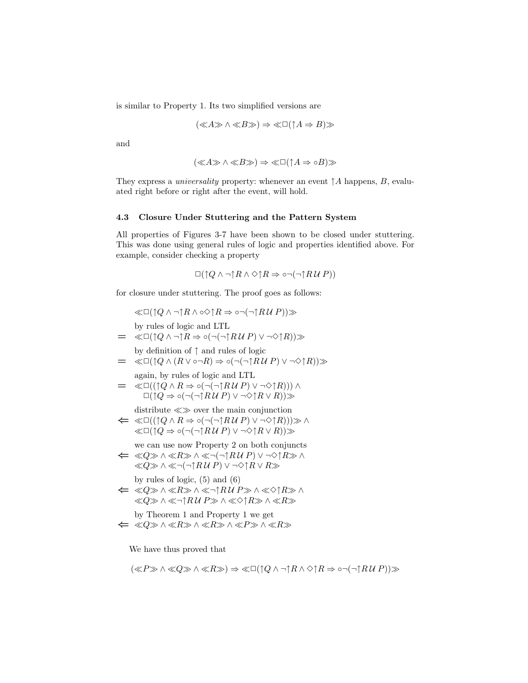is similar to Property 1. Its two simplified versions are

$$
(\ll A \gg \land \ll B \gg) \Rightarrow \ll \Box (\uparrow A \Rightarrow B) \gg
$$

and

$$
(\ll A \gg \land \ll B \gg) \Rightarrow \ll \Box (\uparrow A \Rightarrow \circ B) \gg
$$

They express a *universality* property: whenever an event  $\uparrow A$  happens, B, evaluated right before or right after the event, will hold.

#### **4.3 Closure Under Stuttering and the Pattern System**

All properties of Figures 3-7 have been shown to be closed under stuttering. This was done using general rules of logic and properties identified above. For example, consider checking a property

$$
\Box(\uparrow Q\wedge\neg\uparrow R\wedge\Diamond\uparrow R\Rightarrow\circ\neg(\neg\uparrow R\mathcal{U}\;P))
$$

for closure under stuttering. The proof goes as follows:

 $\ll\Box$ (↑Q  $\land \neg \uparrow R \land \circ \Diamond \uparrow R \Rightarrow \circ \neg (\neg \uparrow R \lor P)) \gg$ by rules of logic and LTL  $= \langle \langle \Box (\uparrow Q \wedge \neg \uparrow R \Rightarrow \circ (\neg (\neg \uparrow R \vee P) \vee \neg \Diamond \uparrow R) \rangle \rangle$ by definition of ↑ and rules of logic  $= \ll \Box(\uparrow Q \wedge (R \vee \circ \neg R) \Rightarrow \circ (\neg(\neg \uparrow R \vee P) \vee \neg \Diamond \uparrow R)) \gg$ again, by rules of logic and LTL  $= \langle \text{Cl}((\uparrow Q \land R \Rightarrow \circ (\neg (\neg \uparrow R \lor P) \lor \neg \Diamond \uparrow R))) \land$  $\Box(\uparrow Q \Rightarrow \circ (\neg(\neg \uparrow R \vee P) \vee \neg \Diamond \uparrow R \vee R)) \gg$ distribute  $\ll \gg$  over the main conjunction  $\Leftarrow \ll\Box((\uparrow Q \land R \Rightarrow \circ (\neg(\neg \uparrow R \lor P) \lor \neg \Diamond \uparrow R))) \gg \land$  $\ll\Box(\uparrow Q \Rightarrow \circ (\neg(\neg \uparrow R \vee P) \vee \neg \Diamond \uparrow R \vee R))\gg$ we can use now Property 2 on both conjuncts *⇐* Q∧R ∧ ¬(¬↑R U P) ∨ ¬✸↑R ∧  $\langle \langle Q \rangle \rangle \wedge \langle \langle \neg \cap R \, U \rangle P \rangle$   $\vee \neg \Diamond \cap R \vee R \rangle$ by rules of logic,  $(5)$  and  $(6)$ *⇐* Q∧R ∧ ¬↑R U P∧✸↑R ∧  $\langle \langle Q \rangle \rangle \wedge \langle \langle \neg \uparrow R \mathcal{U} \rangle$   $P \rangle \wedge \langle \langle \Diamond \uparrow R \rangle \rangle \wedge \langle \langle R \rangle \rangle$ by Theorem 1 and Property 1 we get *⇐* Q∧R∧R∧P∧R

We have thus proved that

$$
(\ll P \gg \land \ll Q \gg \land \ll R \gg) \Rightarrow \ll \Box(\uparrow Q \land \neg \uparrow R \land \Diamond \uparrow R \Rightarrow \circ \neg(\neg \uparrow R \lor P)) \gg
$$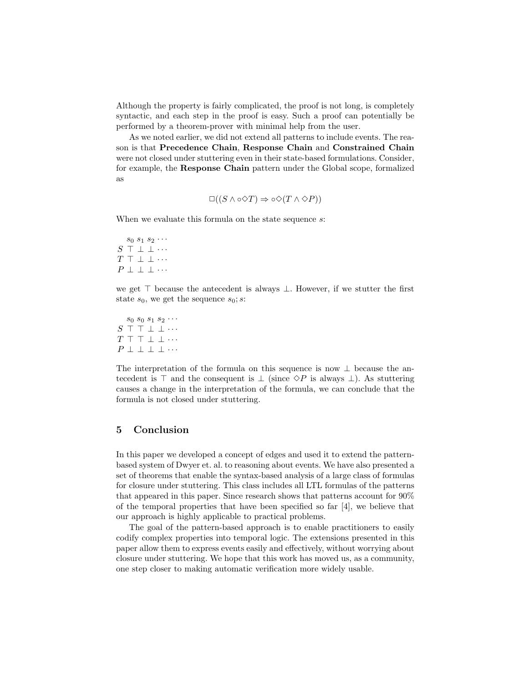Although the property is fairly complicated, the proof is not long, is completely syntactic, and each step in the proof is easy. Such a proof can potentially be performed by a theorem-prover with minimal help from the user.

As we noted earlier, we did not extend all patterns to include events. The reason is that **Precedence Chain**, **Response Chain** and **Constrained Chain** were not closed under stuttering even in their state-based formulations. Consider, for example, the **Response Chain** pattern under the Global scope, formalized as

$$
\Box((S \land \circ \Diamond T) \Rightarrow \circ \Diamond(T \land \Diamond P))
$$

When we evaluate this formula on the state sequence s:

 $s_0 s_1 s_2 \cdots$  $S \top \perp \perp \cdots$  $T \top \bot \bot \cdots$  $P \perp \perp \perp \cdots$ 

we get  $\top$  because the antecedent is always  $\bot$ . However, if we stutter the first state  $s_0$ , we get the sequence  $s_0$ ; s:

 $s_0 s_0 s_1 s_2 \cdots$  $S$  T T  $\perp$   $\perp$   $\cdots$  $T \top \top \bot \bot \cdots$  $P \perp \perp \perp \perp \cdots$ 

The interpretation of the formula on this sequence is now  $\perp$  because the antecedent is  $\top$  and the consequent is  $\bot$  (since  $\diamond P$  is always  $\bot$ ). As stuttering causes a change in the interpretation of the formula, we can conclude that the formula is not closed under stuttering.

## **5 Conclusion**

In this paper we developed a concept of edges and used it to extend the patternbased system of Dwyer et. al. to reasoning about events. We have also presented a set of theorems that enable the syntax-based analysis of a large class of formulas for closure under stuttering. This class includes all LTL formulas of the patterns that appeared in this paper. Since research shows that patterns account for 90% of the temporal properties that have been specified so far [4], we believe that our approach is highly applicable to practical problems.

The goal of the pattern-based approach is to enable practitioners to easily codify complex properties into temporal logic. The extensions presented in this paper allow them to express events easily and effectively, without worrying about closure under stuttering. We hope that this work has moved us, as a community, one step closer to making automatic verification more widely usable.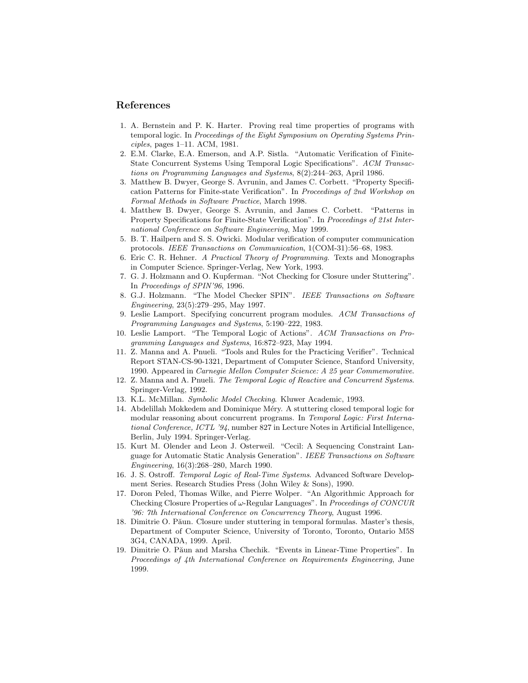## **References**

- 1. A. Bernstein and P. K. Harter. Proving real time properties of programs with temporal logic. In Proceedings of the Eight Symposium on Operating Systems Principles, pages 1–11. ACM, 1981.
- 2. E.M. Clarke, E.A. Emerson, and A.P. Sistla. "Automatic Verification of Finite-State Concurrent Systems Using Temporal Logic Specifications". ACM Transactions on Programming Languages and Systems, 8(2):244–263, April 1986.
- 3. Matthew B. Dwyer, George S. Avrunin, and James C. Corbett. "Property Specification Patterns for Finite-state Verification". In Proceedings of 2nd Workshop on Formal Methods in Software Practice, March 1998.
- 4. Matthew B. Dwyer, George S. Avrunin, and James C. Corbett. "Patterns in Property Specifications for Finite-State Verification". In Proceedings of 21st International Conference on Software Engineering, May 1999.
- 5. B. T. Hailpern and S. S. Owicki. Modular verification of computer communication protocols. IEEE Transactions on Communication, 1(COM-31):56–68, 1983.
- 6. Eric C. R. Hehner. A Practical Theory of Programming. Texts and Monographs in Computer Science. Springer-Verlag, New York, 1993.
- 7. G. J. Holzmann and O. Kupferman. "Not Checking for Closure under Stuttering". In Proceedings of SPIN'96, 1996.
- 8. G.J. Holzmann. "The Model Checker SPIN". IEEE Transactions on Software Engineering, 23(5):279–295, May 1997.
- 9. Leslie Lamport. Specifying concurrent program modules. ACM Transactions of Programming Languages and Systems, 5:190–222, 1983.
- 10. Leslie Lamport. "The Temporal Logic of Actions". ACM Transactions on Programming Languages and Systems, 16:872–923, May 1994.
- 11. Z. Manna and A. Pnueli. "Tools and Rules for the Practicing Verifier". Technical Report STAN-CS-90-1321, Department of Computer Science, Stanford University, 1990. Appeared in Carnegie Mellon Computer Science: A 25 year Commemorative.
- 12. Z. Manna and A. Pnueli. The Temporal Logic of Reactive and Concurrent Systems. Springer-Verlag, 1992.
- 13. K.L. McMillan. Symbolic Model Checking. Kluwer Academic, 1993.
- 14. Abdelillah Mokkedem and Dominique Méry. A stuttering closed temporal logic for modular reasoning about concurrent programs. In Temporal Logic: First International Conference, ICTL '94, number 827 in Lecture Notes in Artificial Intelligence, Berlin, July 1994. Springer-Verlag.
- 15. Kurt M. Olender and Leon J. Osterweil. "Cecil: A Sequencing Constraint Language for Automatic Static Analysis Generation". IEEE Transactions on Software Engineering, 16(3):268–280, March 1990.
- 16. J. S. Ostroff. Temporal Logic of Real-Time Systems. Advanced Software Development Series. Research Studies Press (John Wiley & Sons), 1990.
- 17. Doron Peled, Thomas Wilke, and Pierre Wolper. "An Algorithmic Approach for Checking Closure Properties of  $\omega$ -Regular Languages". In *Proceedings of CONCUR* '96: 7th International Conference on Concurrency Theory, August 1996.
- 18. Dimitrie O. Păun. Closure under stuttering in temporal formulas. Master's thesis, Department of Computer Science, University of Toronto, Toronto, Ontario M5S 3G4, CANADA, 1999. April.
- 19. Dimitrie O. Păun and Marsha Chechik. "Events in Linear-Time Properties". In Proceedings of 4th International Conference on Requirements Engineering, June 1999.